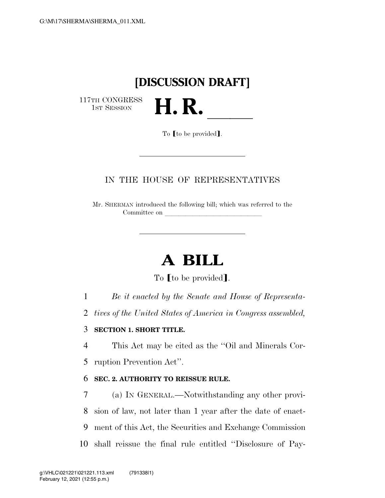## **[DISCUSSION DRAFT]**

H. R.

117TH CONGRESS<br>1st Session

To **[to be provided]**.

### IN THE HOUSE OF REPRESENTATIVES

Mr. SHERMAN introduced the following bill; which was referred to the Committee on

# **A BILL**

To [to be provided].

1 *Be it enacted by the Senate and House of Representa-*

2 *tives of the United States of America in Congress assembled,* 

### 3 **SECTION 1. SHORT TITLE.**

4 This Act may be cited as the ''Oil and Minerals Cor-5 ruption Prevention Act''.

### 6 **SEC. 2. AUTHORITY TO REISSUE RULE.**

 (a) IN GENERAL.—Notwithstanding any other provi- sion of law, not later than 1 year after the date of enact- ment of this Act, the Securities and Exchange Commission shall reissue the final rule entitled ''Disclosure of Pay